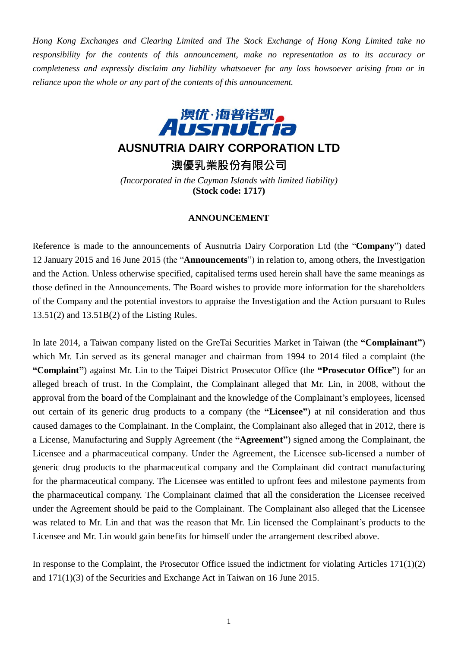*Hong Kong Exchanges and Clearing Limited and The Stock Exchange of Hong Kong Limited take no responsibility for the contents of this announcement, make no representation as to its accuracy or completeness and expressly disclaim any liability whatsoever for any loss howsoever arising from or in reliance upon the whole or any part of the contents of this announcement.*



## **AUSNUTRIA DAIRY CORPORATION LTD**

**澳優乳業股份有限公司**

*(Incorporated in the Cayman Islands with limited liability)* **(Stock code: 1717)**

## **ANNOUNCEMENT**

Reference is made to the announcements of Ausnutria Dairy Corporation Ltd (the "**Company**") dated 12 January 2015 and 16 June 2015 (the "**Announcements**") in relation to, among others, the Investigation and the Action. Unless otherwise specified, capitalised terms used herein shall have the same meanings as those defined in the Announcements. The Board wishes to provide more information for the shareholders of the Company and the potential investors to appraise the Investigation and the Action pursuant to Rules 13.51(2) and 13.51B(2) of the Listing Rules.

In late 2014, a Taiwan company listed on the GreTai Securities Market in Taiwan (the **"Complainant"**) which Mr. Lin served as its general manager and chairman from 1994 to 2014 filed a complaint (the **"Complaint"**) against Mr. Lin to the Taipei District Prosecutor Office (the **"Prosecutor Office"**) for an alleged breach of trust. In the Complaint, the Complainant alleged that Mr. Lin, in 2008, without the approval from the board of the Complainant and the knowledge of the Complainant's employees, licensed out certain of its generic drug products to a company (the **"Licensee"**) at nil consideration and thus caused damages to the Complainant. In the Complaint, the Complainant also alleged that in 2012, there is a License, Manufacturing and Supply Agreement (the **"Agreement"**) signed among the Complainant, the Licensee and a pharmaceutical company. Under the Agreement, the Licensee sub-licensed a number of generic drug products to the pharmaceutical company and the Complainant did contract manufacturing for the pharmaceutical company. The Licensee was entitled to upfront fees and milestone payments from the pharmaceutical company. The Complainant claimed that all the consideration the Licensee received under the Agreement should be paid to the Complainant. The Complainant also alleged that the Licensee was related to Mr. Lin and that was the reason that Mr. Lin licensed the Complainant's products to the Licensee and Mr. Lin would gain benefits for himself under the arrangement described above.

In response to the Complaint, the Prosecutor Office issued the indictment for violating Articles 171(1)(2) and 171(1)(3) of the Securities and Exchange Act in Taiwan on 16 June 2015.